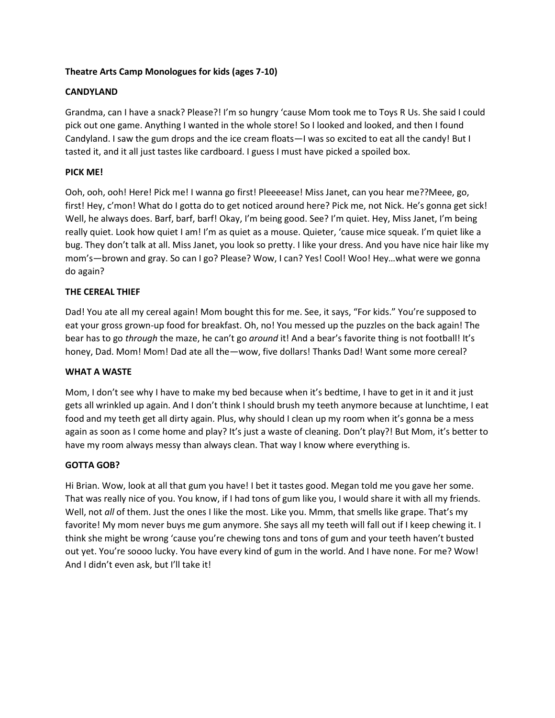### **Theatre Arts Camp Monologues for kids (ages 7-10)**

# **CANDYLAND**

Grandma, can I have a snack? Please?! I'm so hungry 'cause Mom took me to Toys R Us. She said I could pick out one game. Anything I wanted in the whole store! So I looked and looked, and then I found Candyland. I saw the gum drops and the ice cream floats—I was so excited to eat all the candy! But I tasted it, and it all just tastes like cardboard. I guess I must have picked a spoiled box.

# **PICK ME!**

Ooh, ooh, ooh! Here! Pick me! I wanna go first! Pleeeease! Miss Janet, can you hear me??Meee, go, first! Hey, c'mon! What do I gotta do to get noticed around here? Pick me, not Nick. He's gonna get sick! Well, he always does. Barf, barf, barf! Okay, I'm being good. See? I'm quiet. Hey, Miss Janet, I'm being really quiet. Look how quiet I am! I'm as quiet as a mouse. Quieter, 'cause mice squeak. I'm quiet like a bug. They don't talk at all. Miss Janet, you look so pretty. I like your dress. And you have nice hair like my mom's—brown and gray. So can I go? Please? Wow, I can? Yes! Cool! Woo! Hey…what were we gonna do again?

# **THE CEREAL THIEF**

Dad! You ate all my cereal again! Mom bought this for me. See, it says, "For kids." You're supposed to eat your gross grown-up food for breakfast. Oh, no! You messed up the puzzles on the back again! The bear has to go *through* the maze, he can't go *around* it! And a bear's favorite thing is not football! It's honey, Dad. Mom! Mom! Dad ate all the—wow, five dollars! Thanks Dad! Want some more cereal?

### **WHAT A WASTE**

Mom, I don't see why I have to make my bed because when it's bedtime, I have to get in it and it just gets all wrinkled up again. And I don't think I should brush my teeth anymore because at lunchtime, I eat food and my teeth get all dirty again. Plus, why should I clean up my room when it's gonna be a mess again as soon as I come home and play? It's just a waste of cleaning. Don't play?! But Mom, it's better to have my room always messy than always clean. That way I know where everything is.

### **GOTTA GOB?**

Hi Brian. Wow, look at all that gum you have! I bet it tastes good. Megan told me you gave her some. That was really nice of you. You know, if I had tons of gum like you, I would share it with all my friends. Well, not *all* of them. Just the ones I like the most. Like you. Mmm, that smells like grape. That's my favorite! My mom never buys me gum anymore. She says all my teeth will fall out if I keep chewing it. I think she might be wrong 'cause you're chewing tons and tons of gum and your teeth haven't busted out yet. You're soooo lucky. You have every kind of gum in the world. And I have none. For me? Wow! And I didn't even ask, but I'll take it!